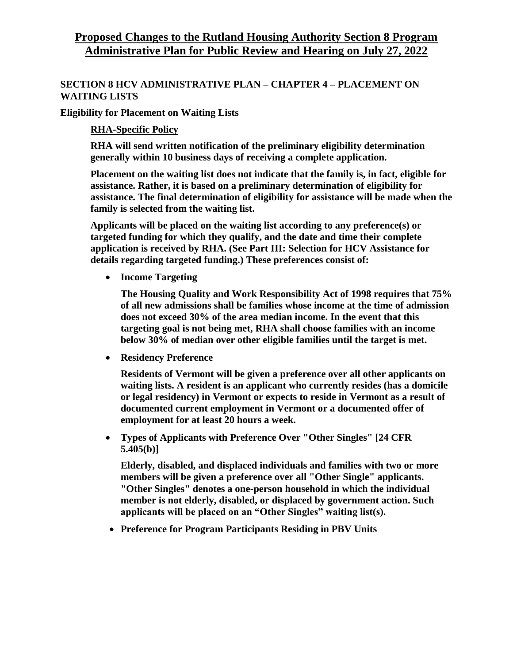## **Proposed Changes to the Rutland Housing Authority Section 8 Program Administrative Plan for Public Review and Hearing on July 27, 2022**

### **SECTION 8 HCV ADMINISTRATIVE PLAN – CHAPTER 4 – PLACEMENT ON WAITING LISTS**

**Eligibility for Placement on Waiting Lists**

**RHA-Specific Policy**

**RHA will send written notification of the preliminary eligibility determination generally within 10 business days of receiving a complete application.**

**Placement on the waiting list does not indicate that the family is, in fact, eligible for assistance. Rather, it is based on a preliminary determination of eligibility for assistance. The final determination of eligibility for assistance will be made when the family is selected from the waiting list.**

**Applicants will be placed on the waiting list according to any preference(s) or targeted funding for which they qualify, and the date and time their complete application is received by RHA. (See Part III: Selection for HCV Assistance for details regarding targeted funding.) These preferences consist of:**

**Income Targeting**

**The Housing Quality and Work Responsibility Act of 1998 requires that 75% of all new admissions shall be families whose income at the time of admission does not exceed 30% of the area median income. In the event that this targeting goal is not being met, RHA shall choose families with an income below 30% of median over other eligible families until the target is met.**

**Residency Preference**

**Residents of Vermont will be given a preference over all other applicants on waiting lists. A resident is an applicant who currently resides (has a domicile or legal residency) in Vermont or expects to reside in Vermont as a result of documented current employment in Vermont or a documented offer of employment for at least 20 hours a week.**

 **Types of Applicants with Preference Over "Other Singles" [24 CFR 5.405(b)]**

**Elderly, disabled, and displaced individuals and families with two or more members will be given a preference over all "Other Single" applicants. "Other Singles" denotes a one-person household in which the individual member is not elderly, disabled, or displaced by government action. Such applicants will be placed on an "Other Singles" waiting list(s).**

**Preference for Program Participants Residing in PBV Units**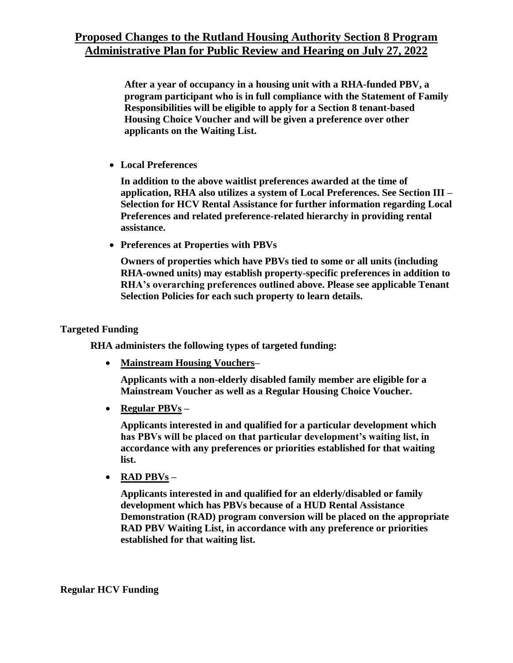**After a year of occupancy in a housing unit with a RHA-funded PBV, a program participant who is in full compliance with the Statement of Family Responsibilities will be eligible to apply for a Section 8 tenant-based Housing Choice Voucher and will be given a preference over other applicants on the Waiting List.**

**Local Preferences** 

**In addition to the above waitlist preferences awarded at the time of application, RHA also utilizes a system of Local Preferences. See Section III – Selection for HCV Rental Assistance for further information regarding Local Preferences and related preference-related hierarchy in providing rental assistance.**

**Preferences at Properties with PBVs**

**Owners of properties which have PBVs tied to some or all units (including RHA-owned units) may establish property-specific preferences in addition to RHA's overarching preferences outlined above. Please see applicable Tenant Selection Policies for each such property to learn details.**

### **Targeted Funding**

**RHA administers the following types of targeted funding:**

**Mainstream Housing Vouchers–**

**Applicants with a non-elderly disabled family member are eligible for a Mainstream Voucher as well as a Regular Housing Choice Voucher.**

**Regular PBVs –**

**Applicants interested in and qualified for a particular development which has PBVs will be placed on that particular development's waiting list, in accordance with any preferences or priorities established for that waiting list.**

**RAD PBVs –**

**Applicants interested in and qualified for an elderly/disabled or family development which has PBVs because of a HUD Rental Assistance Demonstration (RAD) program conversion will be placed on the appropriate RAD PBV Waiting List, in accordance with any preference or priorities established for that waiting list.**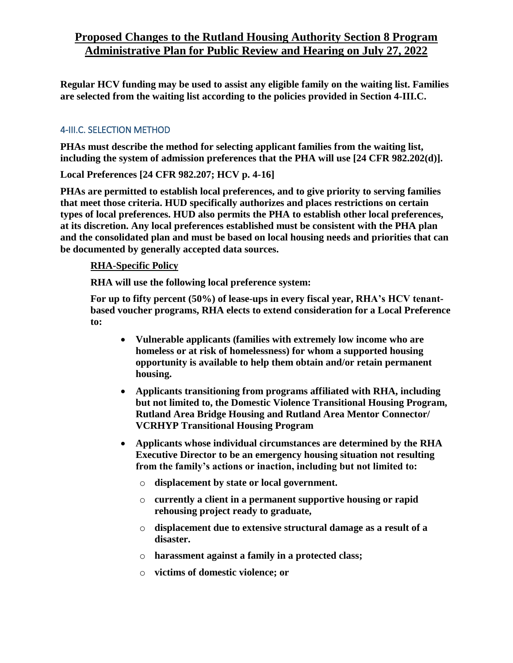# **Proposed Changes to the Rutland Housing Authority Section 8 Program Administrative Plan for Public Review and Hearing on July 27, 2022**

**Regular HCV funding may be used to assist any eligible family on the waiting list. Families are selected from the waiting list according to the policies provided in Section 4-III.C.**

### 4-III.C. SELECTION METHOD

**PHAs must describe the method for selecting applicant families from the waiting list, including the system of admission preferences that the PHA will use [24 CFR 982.202(d)].** 

**Local Preferences [24 CFR 982.207; HCV p. 4-16]**

**PHAs are permitted to establish local preferences, and to give priority to serving families that meet those criteria. HUD specifically authorizes and places restrictions on certain types of local preferences. HUD also permits the PHA to establish other local preferences, at its discretion. Any local preferences established must be consistent with the PHA plan and the consolidated plan and must be based on local housing needs and priorities that can be documented by generally accepted data sources.** 

### **RHA-Specific Policy**

**RHA will use the following local preference system:**

**For up to fifty percent (50%) of lease-ups in every fiscal year, RHA's HCV tenantbased voucher programs, RHA elects to extend consideration for a Local Preference to:**

- **Vulnerable applicants (families with extremely low income who are homeless or at risk of homelessness) for whom a supported housing opportunity is available to help them obtain and/or retain permanent housing.**
- **Applicants transitioning from programs affiliated with RHA, including but not limited to, the Domestic Violence Transitional Housing Program, Rutland Area Bridge Housing and Rutland Area Mentor Connector/ VCRHYP Transitional Housing Program**
- **Applicants whose individual circumstances are determined by the RHA Executive Director to be an emergency housing situation not resulting from the family's actions or inaction, including but not limited to:**
	- o **displacement by state or local government.**
	- o **currently a client in a permanent supportive housing or rapid rehousing project ready to graduate,**
	- o **displacement due to extensive structural damage as a result of a disaster.**
	- o **harassment against a family in a protected class;**
	- o **victims of domestic violence; or**